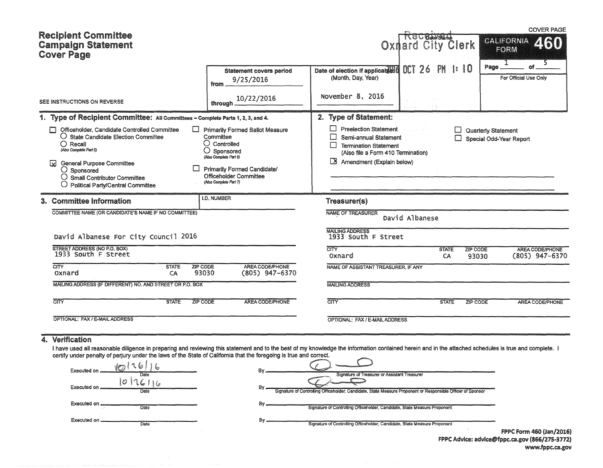| <b>Recipient Committee</b><br><b>Campaign Statement</b><br><b>Cover Page</b>                                                                                                                                                                                                                                                                      |                                                                                                                                                                                                                          |                                                                                                                                                                           | RECRASSA<br><b>Oxnard City Clerk</b> |                                                       | <b>COVER PAGE</b><br><b>CALIFORNIA</b><br><b>ZINA</b><br><b>FORM</b><br>1 |
|---------------------------------------------------------------------------------------------------------------------------------------------------------------------------------------------------------------------------------------------------------------------------------------------------------------------------------------------------|--------------------------------------------------------------------------------------------------------------------------------------------------------------------------------------------------------------------------|---------------------------------------------------------------------------------------------------------------------------------------------------------------------------|--------------------------------------|-------------------------------------------------------|---------------------------------------------------------------------------|
|                                                                                                                                                                                                                                                                                                                                                   | <b>Statement covers period</b><br>9/25/2016<br>from                                                                                                                                                                      | Date of election if applicable 6<br>(Month, Day, Year)                                                                                                                    | OCT 26 PM 1:10                       | Page.                                                 | ٥f<br>For Official Use Only                                               |
| SEE INSTRUCTIONS ON REVERSE                                                                                                                                                                                                                                                                                                                       | 10/22/2016<br>through                                                                                                                                                                                                    | November 8, 2016                                                                                                                                                          |                                      |                                                       |                                                                           |
| 1. Type of Recipient Committee: All Committees - Complete Parts 1, 2, 3, and 4.                                                                                                                                                                                                                                                                   |                                                                                                                                                                                                                          | 2. Type of Statement:                                                                                                                                                     |                                      |                                                       |                                                                           |
| Officeholder. Candidate Controlled Committee<br>$\bigcirc$ State Candidate Election Committee<br>$\bigcirc$ Recall<br>(Also Complete Part 5)<br><b>General Purpose Committee</b><br>$\mathbf{z}$<br>$\bigcirc$ Sponsored<br>$\bigcirc$ Small Contributor Committee<br><b>Political Party/Central Committee</b>                                    | <b>Primarily Formed Ballot Measure</b><br>Committee<br>$\bigcirc$ Controlled<br>$\bigcirc$ Sponsored<br>(Also Complete Part 6)<br><b>Primarily Formed Candidate/</b><br>Officeholder Committee<br>(Also Complete Part 7) | <b>Preelection Statement</b><br>Semi-annual Statement<br>$\Box$<br><b>Termination Statement</b><br>(Also file a Form 410 Termination)<br>LX.<br>Amendment (Explain below) | U                                    | <b>Quarterly Statement</b><br>Special Odd-Year Report |                                                                           |
| 3. Committee Information                                                                                                                                                                                                                                                                                                                          | <b>I.D. NUMBER</b>                                                                                                                                                                                                       | Treasurer(s)                                                                                                                                                              |                                      |                                                       |                                                                           |
| COMMITTEE NAME (OR CANDIDATE'S NAME IF NO COMMITTEE)                                                                                                                                                                                                                                                                                              |                                                                                                                                                                                                                          | <b>NAME OF TREASURER</b>                                                                                                                                                  | David Albanese                       |                                                       |                                                                           |
| David Albanese For City Council 2016                                                                                                                                                                                                                                                                                                              |                                                                                                                                                                                                                          | <b>MAILING ADDRESS</b><br>1933 South F Street                                                                                                                             |                                      |                                                       |                                                                           |
| STREET ADDRESS (NO P.O. BOX)<br>1933 South F Street                                                                                                                                                                                                                                                                                               |                                                                                                                                                                                                                          | <b>CITY</b><br>Oxnard                                                                                                                                                     | <b>STATE</b><br>CA                   | <b>ZIP CODE</b><br>93030                              | <b>AREA CODE/PHONE</b><br>$(805)$ 947-6370                                |
| CITY<br><b>ZIP CODE</b><br><b>STATE</b><br>93030<br>Oxnard<br>CA                                                                                                                                                                                                                                                                                  | AREA CODE/PHONE<br>$(805)$ 947-6370                                                                                                                                                                                      | NAME OF ASSISTANT TREASURER. IF ANY                                                                                                                                       |                                      |                                                       |                                                                           |
| MAILING ADDRESS (IF DIFFERENT) NO. AND STREET OR P.O. BOX                                                                                                                                                                                                                                                                                         |                                                                                                                                                                                                                          | <b>MAILING ADDRESS</b>                                                                                                                                                    |                                      |                                                       |                                                                           |
| CITY<br>ZIP CODE<br><b>STATE</b>                                                                                                                                                                                                                                                                                                                  | <b>AREA CODE/PHONE</b>                                                                                                                                                                                                   | <b>CITY</b>                                                                                                                                                               | <b>STATE</b>                         | ZIP CODE                                              | AREA CODE/PHONE                                                           |
| OPTIONAL: FAX / E-MAIL ADDRESS                                                                                                                                                                                                                                                                                                                    |                                                                                                                                                                                                                          | OPTIONAL: FAX / E-MAIL ADDRESS                                                                                                                                            |                                      |                                                       |                                                                           |
| Verification<br>41<br>I have used all reasonable diligence in preparing and reviewing this statement and to the best of my knowledge the information contained herein and in the attached schedules is true and complete. I<br>certify under penalty of perjury under the laws of the State of California that the foregoing is true and correct. |                                                                                                                                                                                                                          |                                                                                                                                                                           |                                      |                                                       |                                                                           |

| Executed on          | Bv                                                                                                                |  |
|----------------------|-------------------------------------------------------------------------------------------------------------------|--|
| Date                 | Signature of Treasurer or Assistant Treasurer                                                                     |  |
| Executed on<br>Date  | B٧<br>Signature of Controlling Officeholder, Candidate, State Measure Proponent or Responsible Officer of Sponsor |  |
| Executed on.<br>Date | В۱<br>Signature of Controlling Officeholder, Candidate, State Measure Proponent                                   |  |
| Executed on.<br>Date | Bv<br>Signature of Controlling Officeholder, Candidate, State Measure Proponent                                   |  |
|                      | <b>FPPC Form 4</b>                                                                                                |  |

FPPC Form 460 (Jan/2016) FPPC Advice: advice@fppc.ca.gov (866/275-3772) www.fppc.ca.gov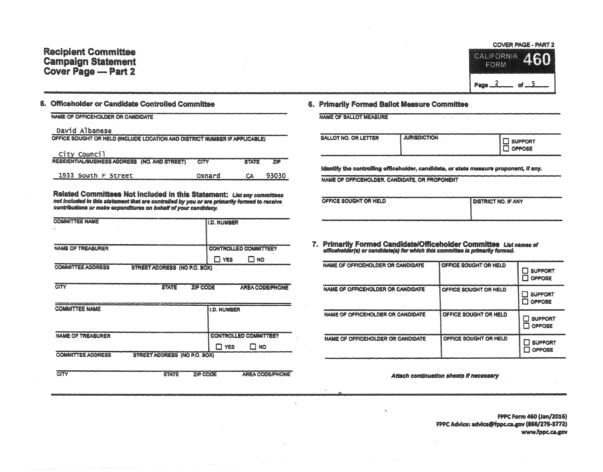## **Recipient Committee Campaign Statement** Cover Page - Part 2



### 5. Officeholder or Candidate Controlled Committee

#### NAME OF OFFICEHOLDER OR CANDIDATE

#### David Albanese

CITY

1933 South F Street

| OFFICE SOUGHT OR HELD (INCLUDE LOCATION AND DISTRICT NUMBER IF APPLICABLE) |      |              |            |
|----------------------------------------------------------------------------|------|--------------|------------|
| City Council                                                               |      |              |            |
| RESIDENTIAL/BUSINESS ADDRESS (NO. AND STREET)                              | CITY | <b>STATE</b> | <b>ZIP</b> |

Related Committees Not included in this Statement: List any committees not included in this statement that are controlled by you or are primarily formed to receive contributions or make expenditures on behalf of your candidacy.

Oxnard

**ZIP CODE** 

CA

93030

**AREA CODE/PHONE** 

| <b>COMMITTEE NAME</b>                                           | <b>ILD. NUMBER</b>           |           |
|-----------------------------------------------------------------|------------------------------|-----------|
| ж.                                                              |                              |           |
|                                                                 |                              |           |
| <b>NAME OF TREASURER</b>                                        | <b>CONTROLLED COMMITTEE?</b> |           |
|                                                                 |                              |           |
|                                                                 | YES                          | <b>NO</b> |
| <b>STREET ADDRESS (NO P.O. BOX)</b><br><b>COMMITTEE ADDRESS</b> |                              |           |
|                                                                 |                              |           |

**STATE** 

| <b>COMMITTEE NAME</b>                                    | <b>ID. NUMBER</b>            |
|----------------------------------------------------------|------------------------------|
|                                                          |                              |
| <b>NAME OF TREASURER</b>                                 | <b>CONTROLLED COMMITTEE?</b> |
|                                                          | NO<br>YES                    |
| <b>COMMITTEE ADDRESS</b><br>STREET ADDRESS (NO P.O. BOX) |                              |

 $\overline{\text{CIV}}$ **STATE ZIP CODE** AREA CODE/PHONE

### 6. Primarily Formed Ballot Measure Committee

| NAME OF BALLOT MEASURE |  |
|------------------------|--|
|------------------------|--|

| <b>BALLOT NO. OR LETTER</b> | <b>JURISDICTION</b> | -0.111224-121224-1-122524-1-1225-1-1225-1-1225-1-1225-1-1225-1-1225-1-1225-1-1226-1-1226-1-1226-1-1226-1-1226-<br><b>SUPPORT</b><br><b>OPPOSE</b><br><b>Report</b> |
|-----------------------------|---------------------|--------------------------------------------------------------------------------------------------------------------------------------------------------------------|
|-----------------------------|---------------------|--------------------------------------------------------------------------------------------------------------------------------------------------------------------|

Identify the controlling officeholder, candidate, or state measure proponent, if any.

NAME OF OFFICEHOLDER, CANDIDATE, OR PROPONENT

| OFFICE SOUGHT OR HELD | <b>I DISTRICT NO. IF ANY</b> |
|-----------------------|------------------------------|
|                       |                              |

7. Primarily Formed Candidate/Officeholder Committee List names of officeholder(s) or candidate(s) for which this committee is primarily formed.

| NAME OF OFFICEHOLDER OR CANDIDATE        | OFFICE SOUGHT OR HELD | <b>SUPPORT</b><br><b>OPPOSE</b>        |
|------------------------------------------|-----------------------|----------------------------------------|
| <b>NAME OF OFFICEHOLDER OR CANDIDATE</b> | OFFICE SOUGHT OR HELD | <b>SUPPORT</b><br><b>OPPOSE</b>        |
| <b>NAME OF OFFICEHOLDER OR CANDIDATE</b> | OFFICE SOUGHT OR HELD | <b>SUPPORT</b><br><b>OPPOSE</b><br>- 1 |
| <b>NAME OF OFFICEHOLDER OR CANDIDATE</b> | OFFICE SOUGHT OR HELD | <b>SUPPORT</b><br><b>OPPOSE</b>        |

Attach continuation sheets if necessary

**FPPC Form 460 (Jan/2016)** FPPC Advice: advice@fppc.ca.gov (866/275-3772) www.fppc.ca.gov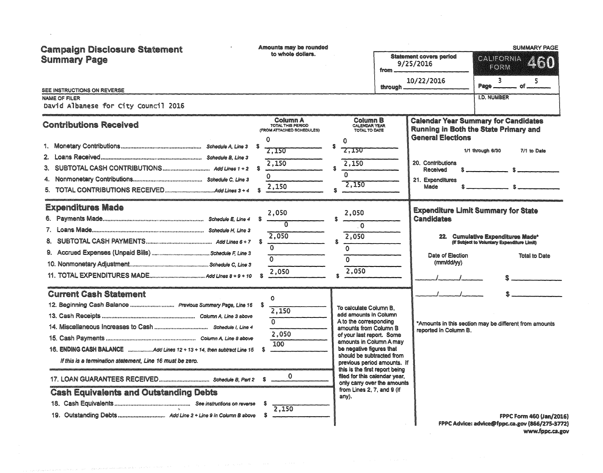| <b>Campaign Disclosure Statement</b><br><b>Summary Page</b><br>SEE INSTRUCTIONS ON REVERSE<br><b>NAME OF FILER</b><br>David Albanese for City Council 2016                                                                                                                                                                               | Amounts may be rounded<br>to whole dollars.                                                                  | $from$ <sub>----</sub><br>through                                                                                                                                                                                                                                                                                                                                                           | <b>Statement covers period</b><br>9/25/2016<br>10/22/2016                             | <b>SUMMARY PAGE</b><br>CALIFORNIA<br>460<br>FORM<br>$\overline{\mathbf{3}}$<br>5<br>Page ___<br>__ of _<br><b>I.D. NUMBER</b>                          |
|------------------------------------------------------------------------------------------------------------------------------------------------------------------------------------------------------------------------------------------------------------------------------------------------------------------------------------------|--------------------------------------------------------------------------------------------------------------|---------------------------------------------------------------------------------------------------------------------------------------------------------------------------------------------------------------------------------------------------------------------------------------------------------------------------------------------------------------------------------------------|---------------------------------------------------------------------------------------|--------------------------------------------------------------------------------------------------------------------------------------------------------|
| <b>Contributions Received</b><br>З.                                                                                                                                                                                                                                                                                                      | Column A<br>TOTAL THIS PERIOD<br>(FROM ATTACHED SCHEDULES)<br>Ω<br>2,150<br>2.150<br>-8<br>$\Omega$<br>2,150 | Column B<br>CALENDAR YEAR<br>TOTAL TO DATE<br>$\Omega$<br>S<br><b>2.ISU</b><br>2,150<br>$\Omega$<br>2,150                                                                                                                                                                                                                                                                                   | <b>General Elections</b><br>20. Contributions<br>Received<br>21. Expenditures<br>Made | <b>Calendar Year Summary for Candidates</b><br>Running in Both the State Primary and<br>1/1 through 6/30<br>7/1 to Date                                |
| <b>Expenditures Made</b>                                                                                                                                                                                                                                                                                                                 | 2.050<br>S<br>2.050<br>$\Omega$<br>$\Omega$<br>2,050                                                         | 2,050<br>$\mathbf 0$<br>2,050<br>$\Omega$<br>$\Omega$<br>2.050                                                                                                                                                                                                                                                                                                                              | Candidates<br>Date of Election<br>(mm/dd/yy)                                          | <b>Expenditure Limit Summary for State</b><br>22. Cumulative Expenditures Made*<br>(if Subject to Voluntary Expenditure Limit)<br><b>Total to Date</b> |
| <b>Current Cash Statement</b><br>12. Beginning Cash Balance  Previous Summary Page, Line 16<br>16. ENDING CASH BALANCE Add Lines 12 + 13 + 14. then subtract Line 15<br>If this is a termination statement, Line 16 must be zero.<br>17. LOAN GUARANTEES RECEIVED Schedule B, Part 2 \$<br><b>Cash Equivalents and Outstanding Debts</b> | O<br>-8<br>2,150<br>$\Omega$<br>2,050<br>100<br>$\Omega$<br>2,150                                            | To calculate Column B.<br>add amounts in Column<br>A to the corresponding<br>amounts from Column B<br>of your last report. Some<br>amounts in Column A may<br>be negative figures that<br>should be subtracted from<br>previous period amounts. If<br>this is the first report being<br>filed for this calendar year,<br>only carry over the amounts<br>from Lines 2, 7, and 9 (if<br>any). | reported in Column B.                                                                 | *Amounts in this section may be different from amounts                                                                                                 |
| 19. Outstanding Debts Add Line 2 + Line 9 in Column B above                                                                                                                                                                                                                                                                              | S.                                                                                                           |                                                                                                                                                                                                                                                                                                                                                                                             |                                                                                       | <b>FPPC Form 460 (Jan/2016)</b><br>FPPC Advice: advice@fppc.ca.gov (866/275-3772)                                                                      |

www.fppc.ca.gov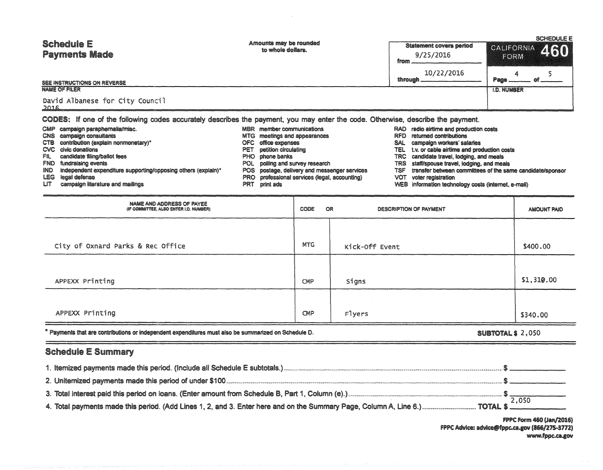| <b>Schedule E</b><br><b>Payments Made</b>                                                                                       | Amounts may be rounded<br>Statement covers period<br>to whole dollars.<br>9/25/2016<br>from . |                        | FORM                       | <b>SCHEDULE E</b><br>CALIFORNIA 460 |  |  |
|---------------------------------------------------------------------------------------------------------------------------------|-----------------------------------------------------------------------------------------------|------------------------|----------------------------|-------------------------------------|--|--|
| SEE INSTRUCTIONS ON REVERSE<br><b>NAME OF FILER</b>                                                                             |                                                                                               | 10/22/2016<br>through. | Page<br><b>I.D. NUMBER</b> |                                     |  |  |
| David Albanese for City Council<br>2016                                                                                         |                                                                                               |                        |                            |                                     |  |  |
| CODES: If one of the following codes accurately describes the payment, you may enter the code. Otherwise, describe the payment. |                                                                                               |                        |                            |                                     |  |  |

|       | CMP campaign paraphernalia/misc.                              |     | <b>MBR</b> member communications              |      | RAD radio airtime and production costs                    |
|-------|---------------------------------------------------------------|-----|-----------------------------------------------|------|-----------------------------------------------------------|
|       | CNS campaign consultants                                      |     | MTG meetings and appearances                  |      | RFD returned contributions                                |
|       | CTB contribution (explain nonmonetary)*                       |     | OFC office expenses                           | SAL. | campaign workers' salaries                                |
|       | CVC civic donations                                           |     | PET petition circulating                      |      | TEL t.v. or cable airlime and production costs            |
| FIL I | candidate filing/ballot fees                                  |     | PHO phone banks                               |      | TRC candidate travel, lodging, and meals                  |
|       | <b>FND</b> fundraising events                                 |     | POL polling and survey research               |      | TRS staff/spouse travel, lodging, and meals               |
| IND.  | independent expenditure supporting/opposing others (explain)* |     | POS postage, delivery and messenger services  | TSF  | transfer between committees of the same candidate/sponsor |
|       | <b>LEG</b> legal defense                                      |     | PRO professional services (legal, accounting) | VOT  | voter registration                                        |
| LIT.  | campaign literature and mailings                              | PRT | print ads                                     |      | WEB information technology costs (internet, e-mail)       |

- $LT$ campaign literature and mailings
- NAME AND ADDRESS OF PAYEE<br>(IF COMMITTEE, ALSO ENTER I.D. NUMBER) CODE OR DESCRIPTION OF PAYMENT AMOUNT PAID **MTG** City of Oxnard Parks & Rec Office Kick-Off Event \$400.00 \$1,310.00 APPEXX Printing CMP Signs APPEXX Printing CMP Flyers \$340.00

\* Payments that are contributions or independent expenditures must also be summarized on Schedule D.

**SUBTOTAL \$ 2,050** 

# **Schedule E Summary**

**FPPC Form 460 (Jan/2016)** FPPC Advice: advice@fppc.ca.gov (866/275-3772) www.fppc.ca.gov